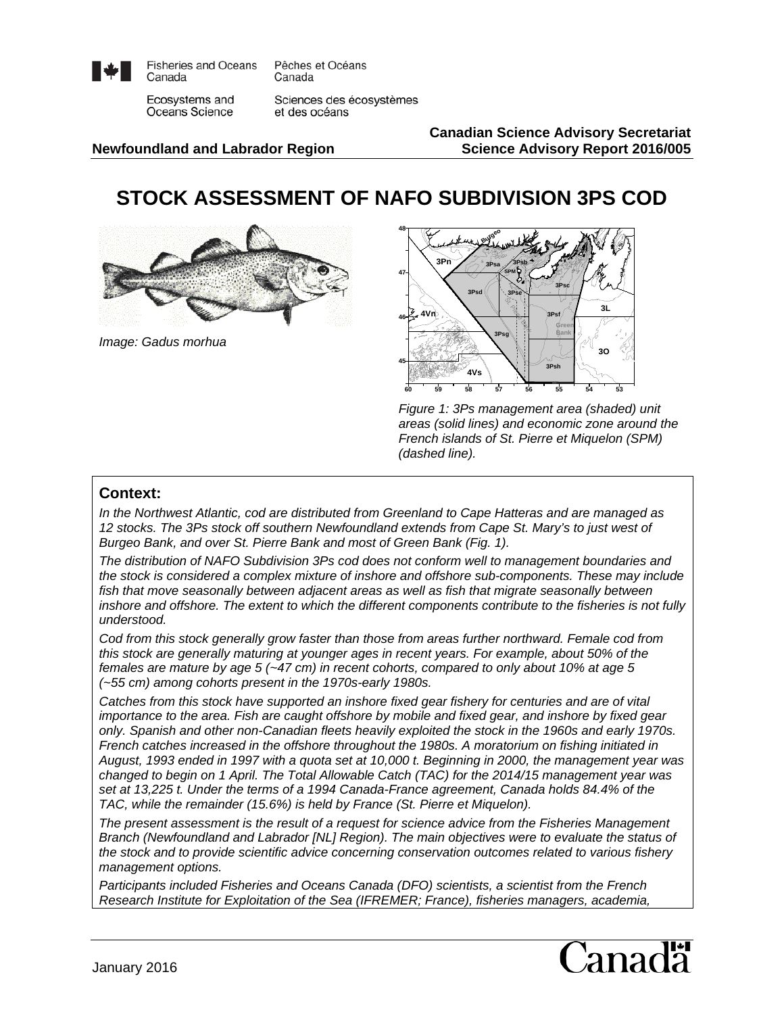

**Fisheries and Oceans** Canada

Pêches et Océans Canada

Ecosystems and Oceans Science

Sciences des écosystèmes et des océans

**Canadian Science Advisory Secretariat Newfoundland and Labrador Region Science Advisory Report 2016/005**

# **STOCK ASSESSMENT OF NAFO SUBDIVISION 3PS COD**



*Image: Gadus morhua*



*Figure 1: 3Ps management area (shaded) unit areas (solid lines) and economic zone around the French islands of St. Pierre et Miquelon (SPM) (dashed line).* 

#### **Context:**

*In the Northwest Atlantic, cod are distributed from Greenland to Cape Hatteras and are managed as 12 stocks. The 3Ps stock off southern Newfoundland extends from Cape St. Mary's to just west of Burgeo Bank, and over St. Pierre Bank and most of Green Bank (Fig. 1).*

*The distribution of NAFO Subdivision 3Ps cod does not conform well to management boundaries and the stock is considered a complex mixture of inshore and offshore sub-components. These may include fish that move seasonally between adjacent areas as well as fish that migrate seasonally between inshore and offshore. The extent to which the different components contribute to the fisheries is not fully understood.*

*Cod from this stock generally grow faster than those from areas further northward. Female cod from this stock are generally maturing at younger ages in recent years. For example, about 50% of the females are mature by age 5 (~47 cm) in recent cohorts, compared to only about 10% at age 5 (~55 cm) among cohorts present in the 1970s-early 1980s.*

*Catches from this stock have supported an inshore fixed gear fishery for centuries and are of vital importance to the area. Fish are caught offshore by mobile and fixed gear, and inshore by fixed gear only. Spanish and other non-Canadian fleets heavily exploited the stock in the 1960s and early 1970s. French catches increased in the offshore throughout the 1980s. A moratorium on fishing initiated in August, 1993 ended in 1997 with a quota set at 10,000 t. Beginning in 2000, the management year was changed to begin on 1 April. The Total Allowable Catch (TAC) for the 2014/15 management year was set at 13,225 t. Under the terms of a 1994 Canada-France agreement, Canada holds 84.4% of the TAC, while the remainder (15.6%) is held by France (St. Pierre et Miquelon).* 

*The present assessment is the result of a request for science advice from the Fisheries Management Branch (Newfoundland and Labrador [NL] Region). The main objectives were to evaluate the status of the stock and to provide scientific advice concerning conservation outcomes related to various fishery management options.*

*Participants included Fisheries and Oceans Canada (DFO) scientists, a scientist from the French Research Institute for Exploitation of the Sea (IFREMER; France), fisheries managers, academia,* 

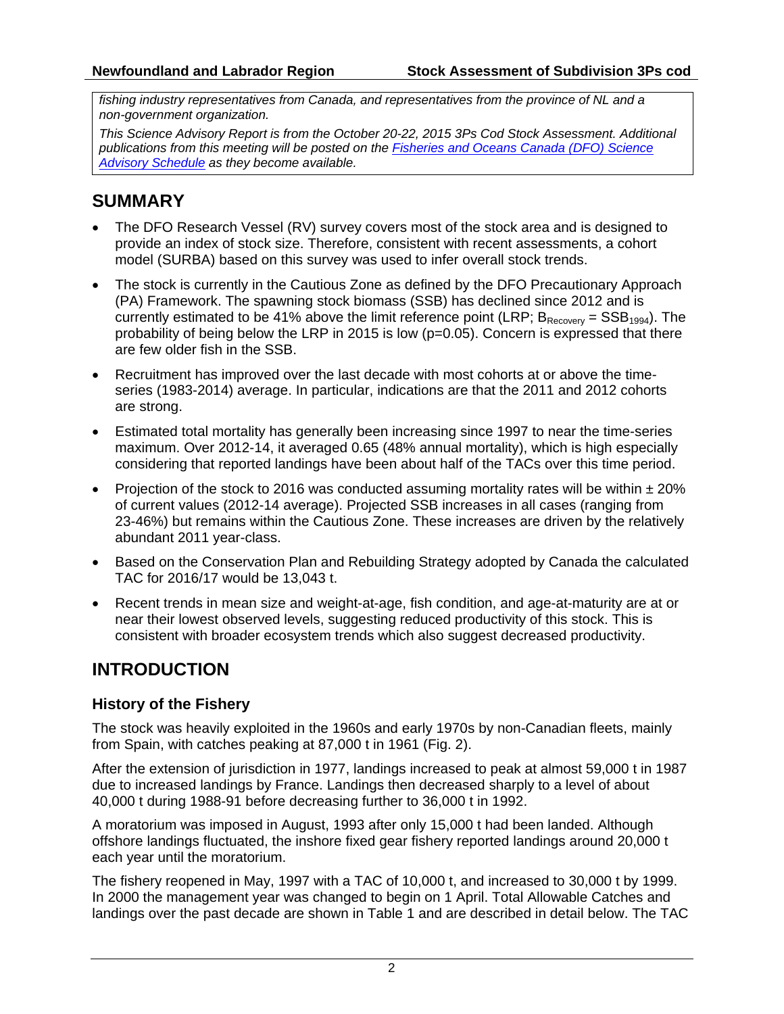*fishing industry representatives from Canada, and representatives from the province of NL and a non-government organization.*

*This Science Advisory Report is from the October 20-22, 2015 3Ps Cod Stock Assessment. Additional publications from this meeting will be posted on the [Fisheries and Oceans Canada \(DFO\) Science](http://www.isdm-gdsi.gc.ca/csas-sccs/applications/events-evenements/index-eng.asp)  [Advisory Schedule](http://www.isdm-gdsi.gc.ca/csas-sccs/applications/events-evenements/index-eng.asp) as they become available.*

# **SUMMARY**

- The DFO Research Vessel (RV) survey covers most of the stock area and is designed to provide an index of stock size. Therefore, consistent with recent assessments, a cohort model (SURBA) based on this survey was used to infer overall stock trends.
- The stock is currently in the Cautious Zone as defined by the DFO Precautionary Approach (PA) Framework. The spawning stock biomass (SSB) has declined since 2012 and is currently estimated to be 41% above the limit reference point (LRP;  $B_{\text{Recovery}} = SSB_{1994}$ ). The probability of being below the LRP in 2015 is low (p=0.05). Concern is expressed that there are few older fish in the SSB.
- Recruitment has improved over the last decade with most cohorts at or above the timeseries (1983-2014) average. In particular, indications are that the 2011 and 2012 cohorts are strong.
- Estimated total mortality has generally been increasing since 1997 to near the time-series maximum. Over 2012-14, it averaged 0.65 (48% annual mortality), which is high especially considering that reported landings have been about half of the TACs over this time period.
- Projection of the stock to 2016 was conducted assuming mortality rates will be within  $\pm 20\%$ of current values (2012-14 average). Projected SSB increases in all cases (ranging from 23-46%) but remains within the Cautious Zone. These increases are driven by the relatively abundant 2011 year-class.
- Based on the Conservation Plan and Rebuilding Strategy adopted by Canada the calculated TAC for 2016/17 would be 13,043 t.
- Recent trends in mean size and weight-at-age, fish condition, and age-at-maturity are at or near their lowest observed levels, suggesting reduced productivity of this stock. This is consistent with broader ecosystem trends which also suggest decreased productivity.

# **INTRODUCTION**

# **History of the Fishery**

The stock was heavily exploited in the 1960s and early 1970s by non-Canadian fleets, mainly from Spain, with catches peaking at 87,000 t in 1961 (Fig. 2).

After the extension of jurisdiction in 1977, landings increased to peak at almost 59,000 t in 1987 due to increased landings by France. Landings then decreased sharply to a level of about 40,000 t during 1988-91 before decreasing further to 36,000 t in 1992.

A moratorium was imposed in August, 1993 after only 15,000 t had been landed. Although offshore landings fluctuated, the inshore fixed gear fishery reported landings around 20,000 t each year until the moratorium.

The fishery reopened in May, 1997 with a TAC of 10,000 t, and increased to 30,000 t by 1999. In 2000 the management year was changed to begin on 1 April. Total Allowable Catches and landings over the past decade are shown in Table 1 and are described in detail below. The TAC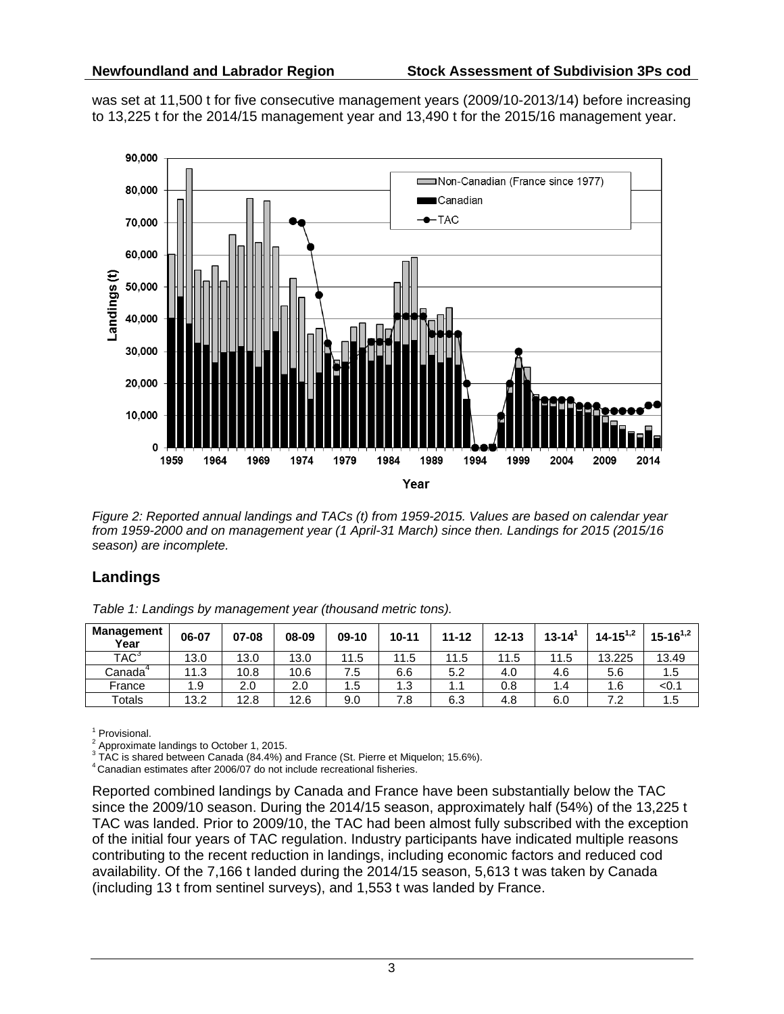was set at 11,500 t for five consecutive management years (2009/10-2013/14) before increasing to 13,225 t for the 2014/15 management year and 13,490 t for the 2015/16 management year.



*Figure 2: Reported annual landings and TACs (t) from 1959-2015. Values are based on calendar year from 1959-2000 and on management year (1 April-31 March) since then. Landings for 2015 (2015/16 season) are incomplete.*

## **Landings**

*Table 1: Landings by management year (thousand metric tons).*

| <b>Management</b><br>Year | 06-07 | 07-08 | 08-09 | $09-10$ | $10 - 11$ | $11 - 12$ | $12 - 13$ | $13 - 14$ <sup>1</sup> | $14 - 15^{1,2}$ | $15 - 16^{1,2}$ |
|---------------------------|-------|-------|-------|---------|-----------|-----------|-----------|------------------------|-----------------|-----------------|
| TAC <sup>3</sup>          | 13.0  | 13.0  | 13.0  | 11.5    | 11.5      | 11.5      | 11.5      | 11.5                   | 13.225          | 13.49           |
| Canadaʿ                   | 11.3  | 10.8  | 10.6  | 7.5     | 6.6       | 5.2       | 4.0       | 4.6                    | 5.6             | 1.5             |
| France                    | 1.9   | 2.0   | 2.0   | 1.5     | 1.3       | 1.1       | 0.8       | 1.4                    | ، 6،            | 0.1             |
| Totals                    | 13.2  | 12.8  | 12.6  | 9.0     | 7.8       | 6.3       | 4.8       | 6.0                    | ے ،             | 1.5             |

 $^1$  Provisional.<br><sup>2</sup> Approximate landings to October 1, 2015.

2 Approximate landings to October 1, 2015. 3 TAC is shared between Canada (84.4%) and France (St. Pierre et Miquelon; 15.6%). 4 Canadian estimates after 2006/07 do not include recreational fisheries.

Reported combined landings by Canada and France have been substantially below the TAC since the 2009/10 season. During the 2014/15 season, approximately half (54%) of the 13,225 t TAC was landed. Prior to 2009/10, the TAC had been almost fully subscribed with the exception of the initial four years of TAC regulation. Industry participants have indicated multiple reasons contributing to the recent reduction in landings, including economic factors and reduced cod availability. Of the 7,166 t landed during the 2014/15 season, 5,613 t was taken by Canada (including 13 t from sentinel surveys), and 1,553 t was landed by France.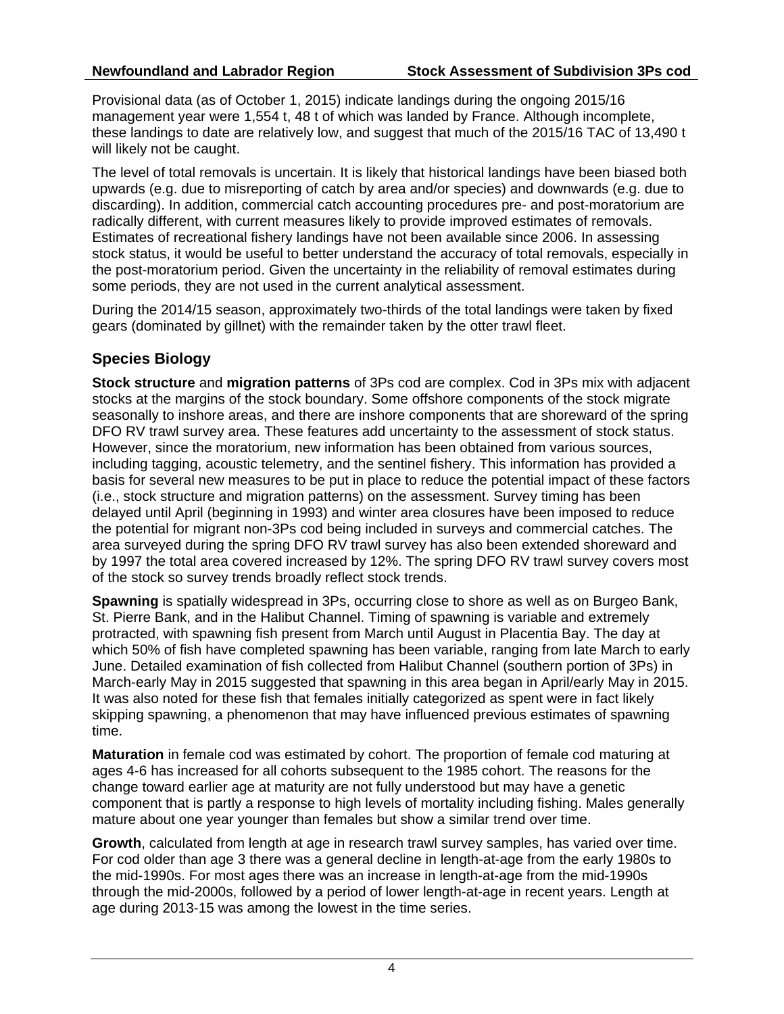Provisional data (as of October 1, 2015) indicate landings during the ongoing 2015/16 management year were 1,554 t, 48 t of which was landed by France. Although incomplete, these landings to date are relatively low, and suggest that much of the 2015/16 TAC of 13,490 t will likely not be caught.

The level of total removals is uncertain. It is likely that historical landings have been biased both upwards (e.g. due to misreporting of catch by area and/or species) and downwards (e.g. due to discarding). In addition, commercial catch accounting procedures pre- and post-moratorium are radically different, with current measures likely to provide improved estimates of removals. Estimates of recreational fishery landings have not been available since 2006. In assessing stock status, it would be useful to better understand the accuracy of total removals, especially in the post-moratorium period. Given the uncertainty in the reliability of removal estimates during some periods, they are not used in the current analytical assessment.

During the 2014/15 season, approximately two-thirds of the total landings were taken by fixed gears (dominated by gillnet) with the remainder taken by the otter trawl fleet.

# **Species Biology**

**Stock structure** and **migration patterns** of 3Ps cod are complex. Cod in 3Ps mix with adjacent stocks at the margins of the stock boundary. Some offshore components of the stock migrate seasonally to inshore areas, and there are inshore components that are shoreward of the spring DFO RV trawl survey area. These features add uncertainty to the assessment of stock status. However, since the moratorium, new information has been obtained from various sources, including tagging, acoustic telemetry, and the sentinel fishery. This information has provided a basis for several new measures to be put in place to reduce the potential impact of these factors (i.e., stock structure and migration patterns) on the assessment. Survey timing has been delayed until April (beginning in 1993) and winter area closures have been imposed to reduce the potential for migrant non-3Ps cod being included in surveys and commercial catches. The area surveyed during the spring DFO RV trawl survey has also been extended shoreward and by 1997 the total area covered increased by 12%. The spring DFO RV trawl survey covers most of the stock so survey trends broadly reflect stock trends.

**Spawning** is spatially widespread in 3Ps, occurring close to shore as well as on Burgeo Bank, St. Pierre Bank, and in the Halibut Channel. Timing of spawning is variable and extremely protracted, with spawning fish present from March until August in Placentia Bay. The day at which 50% of fish have completed spawning has been variable, ranging from late March to early June. Detailed examination of fish collected from Halibut Channel (southern portion of 3Ps) in March-early May in 2015 suggested that spawning in this area began in April/early May in 2015. It was also noted for these fish that females initially categorized as spent were in fact likely skipping spawning, a phenomenon that may have influenced previous estimates of spawning time.

**Maturation** in female cod was estimated by cohort. The proportion of female cod maturing at ages 4-6 has increased for all cohorts subsequent to the 1985 cohort. The reasons for the change toward earlier age at maturity are not fully understood but may have a genetic component that is partly a response to high levels of mortality including fishing. Males generally mature about one year younger than females but show a similar trend over time.

**Growth**, calculated from length at age in research trawl survey samples, has varied over time. For cod older than age 3 there was a general decline in length-at-age from the early 1980s to the mid-1990s. For most ages there was an increase in length-at-age from the mid-1990s through the mid-2000s, followed by a period of lower length-at-age in recent years. Length at age during 2013-15 was among the lowest in the time series.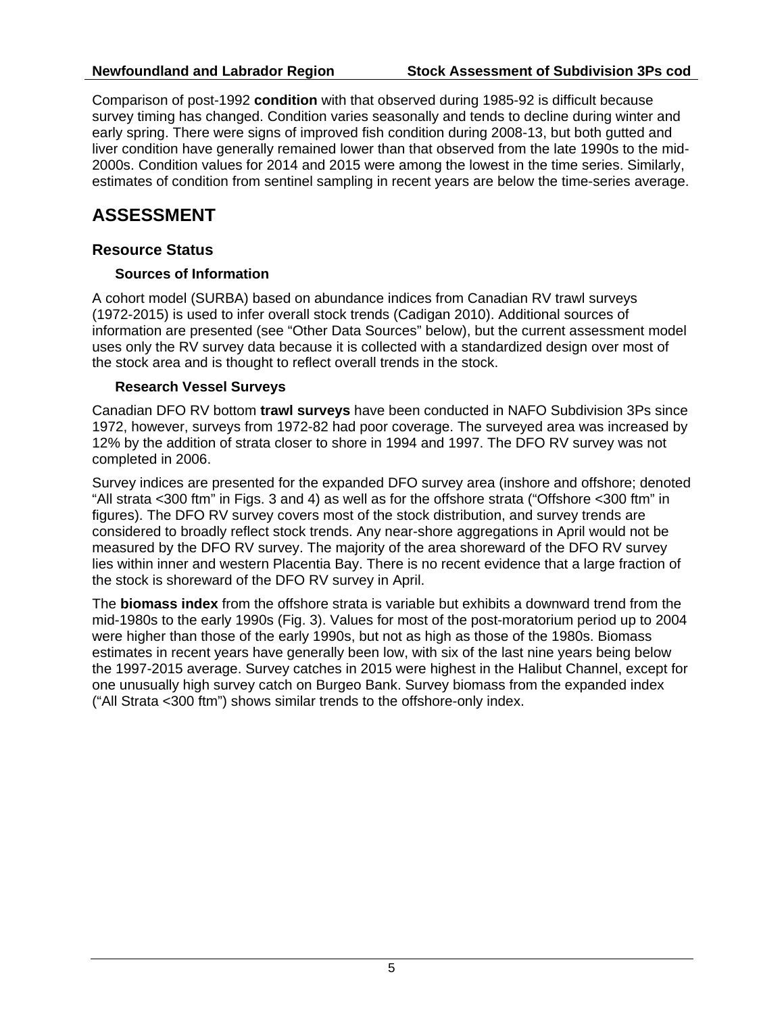Comparison of post-1992 **condition** with that observed during 1985-92 is difficult because survey timing has changed. Condition varies seasonally and tends to decline during winter and early spring. There were signs of improved fish condition during 2008-13, but both gutted and liver condition have generally remained lower than that observed from the late 1990s to the mid-2000s. Condition values for 2014 and 2015 were among the lowest in the time series. Similarly, estimates of condition from sentinel sampling in recent years are below the time-series average.

# **ASSESSMENT**

## **Resource Status**

#### **Sources of Information**

A cohort model (SURBA) based on abundance indices from Canadian RV trawl surveys (1972-2015) is used to infer overall stock trends (Cadigan 2010). Additional sources of information are presented (see "Other Data Sources" below), but the current assessment model uses only the RV survey data because it is collected with a standardized design over most of the stock area and is thought to reflect overall trends in the stock.

#### **Research Vessel Surveys**

Canadian DFO RV bottom **trawl surveys** have been conducted in NAFO Subdivision 3Ps since 1972, however, surveys from 1972-82 had poor coverage. The surveyed area was increased by 12% by the addition of strata closer to shore in 1994 and 1997. The DFO RV survey was not completed in 2006.

Survey indices are presented for the expanded DFO survey area (inshore and offshore; denoted "All strata <300 ftm" in Figs. 3 and 4) as well as for the offshore strata ("Offshore <300 ftm" in figures). The DFO RV survey covers most of the stock distribution, and survey trends are considered to broadly reflect stock trends. Any near-shore aggregations in April would not be measured by the DFO RV survey. The majority of the area shoreward of the DFO RV survey lies within inner and western Placentia Bay. There is no recent evidence that a large fraction of the stock is shoreward of the DFO RV survey in April.

The **biomass index** from the offshore strata is variable but exhibits a downward trend from the mid-1980s to the early 1990s (Fig. 3). Values for most of the post-moratorium period up to 2004 were higher than those of the early 1990s, but not as high as those of the 1980s. Biomass estimates in recent years have generally been low, with six of the last nine years being below the 1997-2015 average. Survey catches in 2015 were highest in the Halibut Channel, except for one unusually high survey catch on Burgeo Bank. Survey biomass from the expanded index ("All Strata <300 ftm") shows similar trends to the offshore-only index.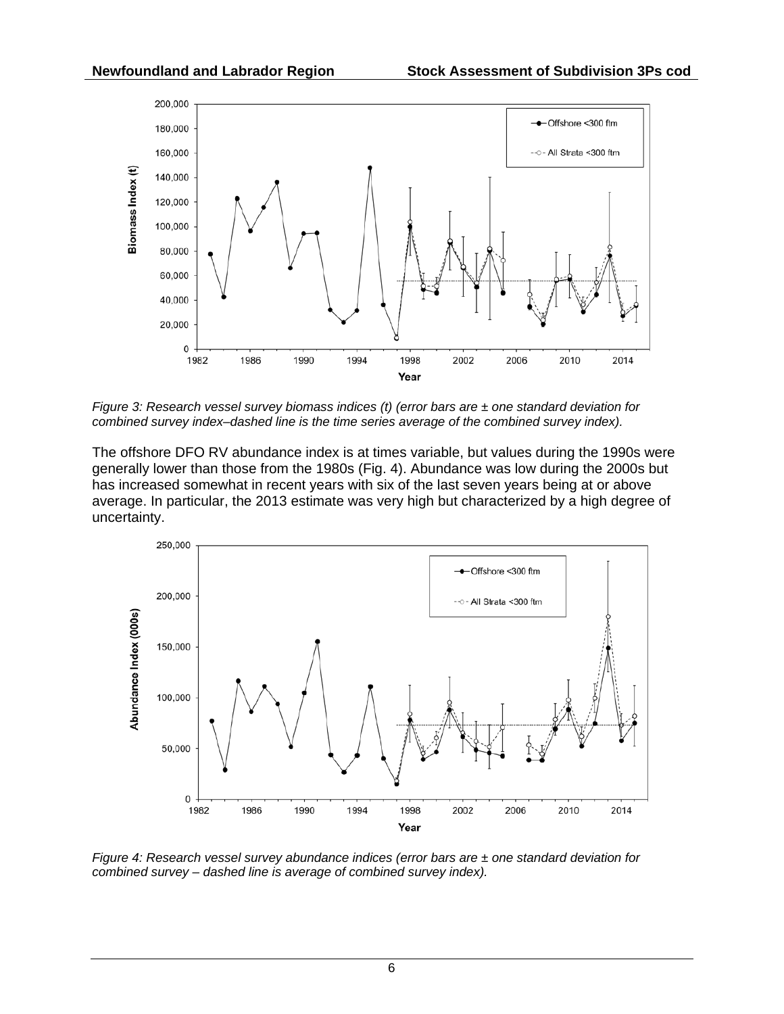

*Figure 3: Research vessel survey biomass indices (t) (error bars are ± one standard deviation for combined survey index–dashed line is the time series average of the combined survey index).*

The offshore DFO RV abundance index is at times variable, but values during the 1990s were generally lower than those from the 1980s (Fig. 4). Abundance was low during the 2000s but has increased somewhat in recent years with six of the last seven years being at or above average. In particular, the 2013 estimate was very high but characterized by a high degree of uncertainty.



*Figure 4: Research vessel survey abundance indices (error bars are ± one standard deviation for combined survey – dashed line is average of combined survey index).*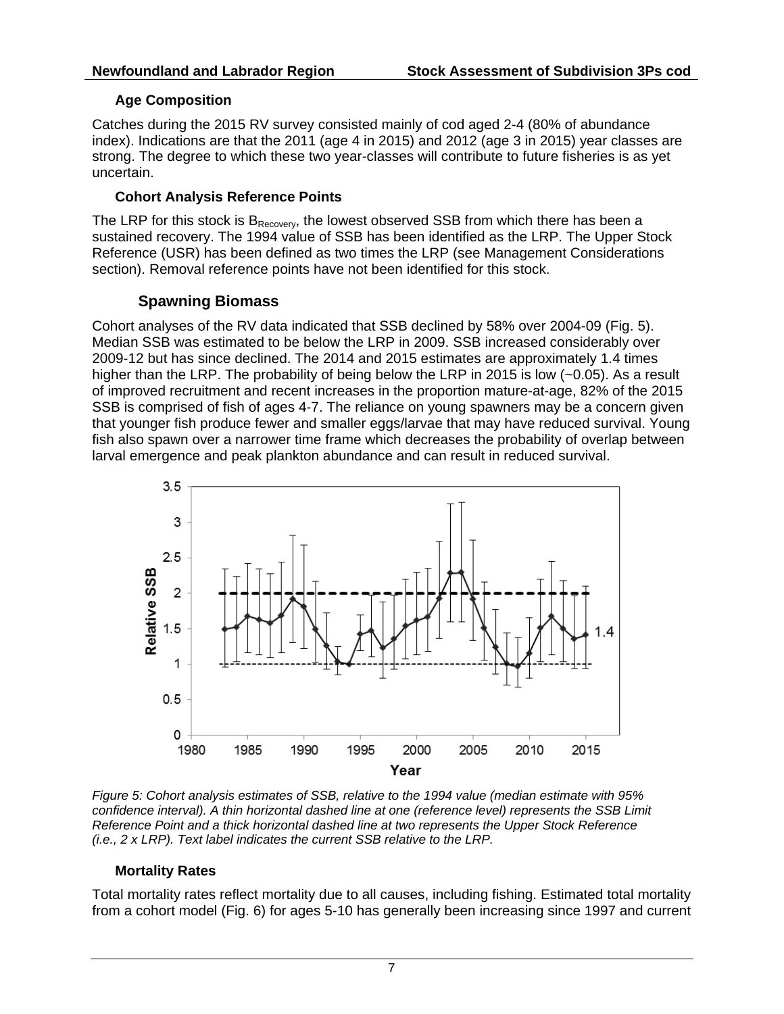## **Age Composition**

Catches during the 2015 RV survey consisted mainly of cod aged 2-4 (80% of abundance index). Indications are that the 2011 (age 4 in 2015) and 2012 (age 3 in 2015) year classes are strong. The degree to which these two year-classes will contribute to future fisheries is as yet uncertain.

#### **Cohort Analysis Reference Points**

The LRP for this stock is  $B_{\text{Recovery}}$ , the lowest observed SSB from which there has been a sustained recovery. The 1994 value of SSB has been identified as the LRP. The Upper Stock Reference (USR) has been defined as two times the LRP (see Management Considerations section). Removal reference points have not been identified for this stock.

## **Spawning Biomass**

Cohort analyses of the RV data indicated that SSB declined by 58% over 2004-09 (Fig. 5). Median SSB was estimated to be below the LRP in 2009. SSB increased considerably over 2009-12 but has since declined. The 2014 and 2015 estimates are approximately 1.4 times higher than the LRP. The probability of being below the LRP in 2015 is low (~0.05). As a result of improved recruitment and recent increases in the proportion mature-at-age, 82% of the 2015 SSB is comprised of fish of ages 4-7. The reliance on young spawners may be a concern given that younger fish produce fewer and smaller eggs/larvae that may have reduced survival. Young fish also spawn over a narrower time frame which decreases the probability of overlap between larval emergence and peak plankton abundance and can result in reduced survival.



*Figure 5: Cohort analysis estimates of SSB, relative to the 1994 value (median estimate with 95% confidence interval). A thin horizontal dashed line at one (reference level) represents the SSB Limit Reference Point and a thick horizontal dashed line at two represents the Upper Stock Reference (i.e., 2 x LRP). Text label indicates the current SSB relative to the LRP.*

## **Mortality Rates**

Total mortality rates reflect mortality due to all causes, including fishing. Estimated total mortality from a cohort model (Fig. 6) for ages 5-10 has generally been increasing since 1997 and current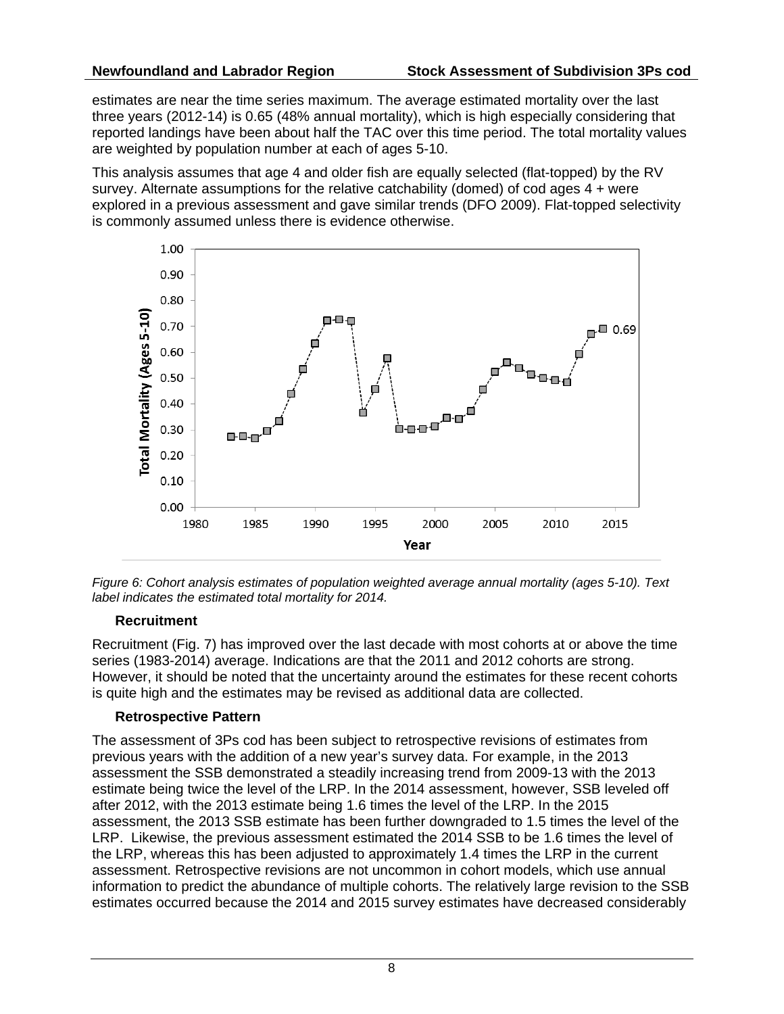estimates are near the time series maximum. The average estimated mortality over the last three years (2012-14) is 0.65 (48% annual mortality), which is high especially considering that reported landings have been about half the TAC over this time period. The total mortality values are weighted by population number at each of ages 5-10.

This analysis assumes that age 4 and older fish are equally selected (flat-topped) by the RV survey. Alternate assumptions for the relative catchability (domed) of cod ages 4 + were explored in a previous assessment and gave similar trends (DFO 2009). Flat-topped selectivity is commonly assumed unless there is evidence otherwise.



*Figure 6: Cohort analysis estimates of population weighted average annual mortality (ages 5-10). Text label indicates the estimated total mortality for 2014.*

## **Recruitment**

Recruitment (Fig. 7) has improved over the last decade with most cohorts at or above the time series (1983-2014) average. Indications are that the 2011 and 2012 cohorts are strong. However, it should be noted that the uncertainty around the estimates for these recent cohorts is quite high and the estimates may be revised as additional data are collected.

## **Retrospective Pattern**

The assessment of 3Ps cod has been subject to retrospective revisions of estimates from previous years with the addition of a new year's survey data. For example, in the 2013 assessment the SSB demonstrated a steadily increasing trend from 2009-13 with the 2013 estimate being twice the level of the LRP. In the 2014 assessment, however, SSB leveled off after 2012, with the 2013 estimate being 1.6 times the level of the LRP. In the 2015 assessment, the 2013 SSB estimate has been further downgraded to 1.5 times the level of the LRP. Likewise, the previous assessment estimated the 2014 SSB to be 1.6 times the level of the LRP, whereas this has been adjusted to approximately 1.4 times the LRP in the current assessment. Retrospective revisions are not uncommon in cohort models, which use annual information to predict the abundance of multiple cohorts. The relatively large revision to the SSB estimates occurred because the 2014 and 2015 survey estimates have decreased considerably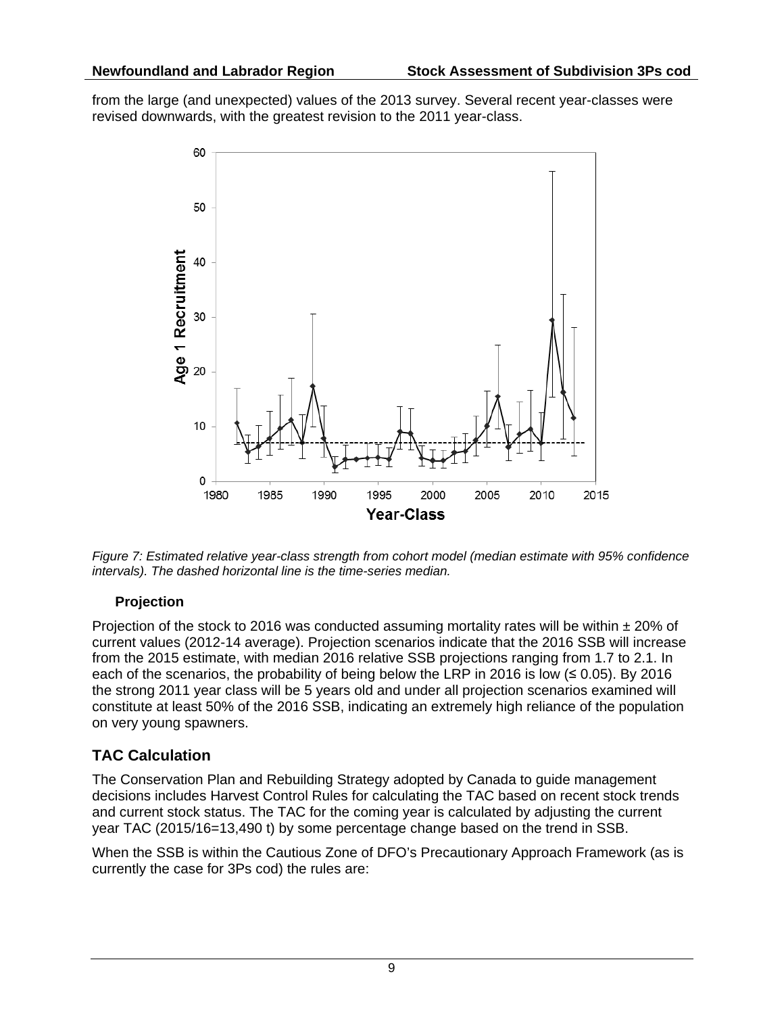from the large (and unexpected) values of the 2013 survey. Several recent year-classes were revised downwards, with the greatest revision to the 2011 year-class.



*Figure 7: Estimated relative year-class strength from cohort model (median estimate with 95% confidence intervals). The dashed horizontal line is the time-series median.*

## **Projection**

Projection of the stock to 2016 was conducted assuming mortality rates will be within  $\pm$  20% of current values (2012-14 average). Projection scenarios indicate that the 2016 SSB will increase from the 2015 estimate, with median 2016 relative SSB projections ranging from 1.7 to 2.1. In each of the scenarios, the probability of being below the LRP in 2016 is low  $($ the strong 2011 year class will be 5 years old and under all projection scenarios examined will constitute at least 50% of the 2016 SSB, indicating an extremely high reliance of the population on very young spawners.

# **TAC Calculation**

The Conservation Plan and Rebuilding Strategy adopted by Canada to guide management decisions includes Harvest Control Rules for calculating the TAC based on recent stock trends and current stock status. The TAC for the coming year is calculated by adjusting the current year TAC (2015/16=13,490 t) by some percentage change based on the trend in SSB.

When the SSB is within the Cautious Zone of DFO's Precautionary Approach Framework (as is currently the case for 3Ps cod) the rules are: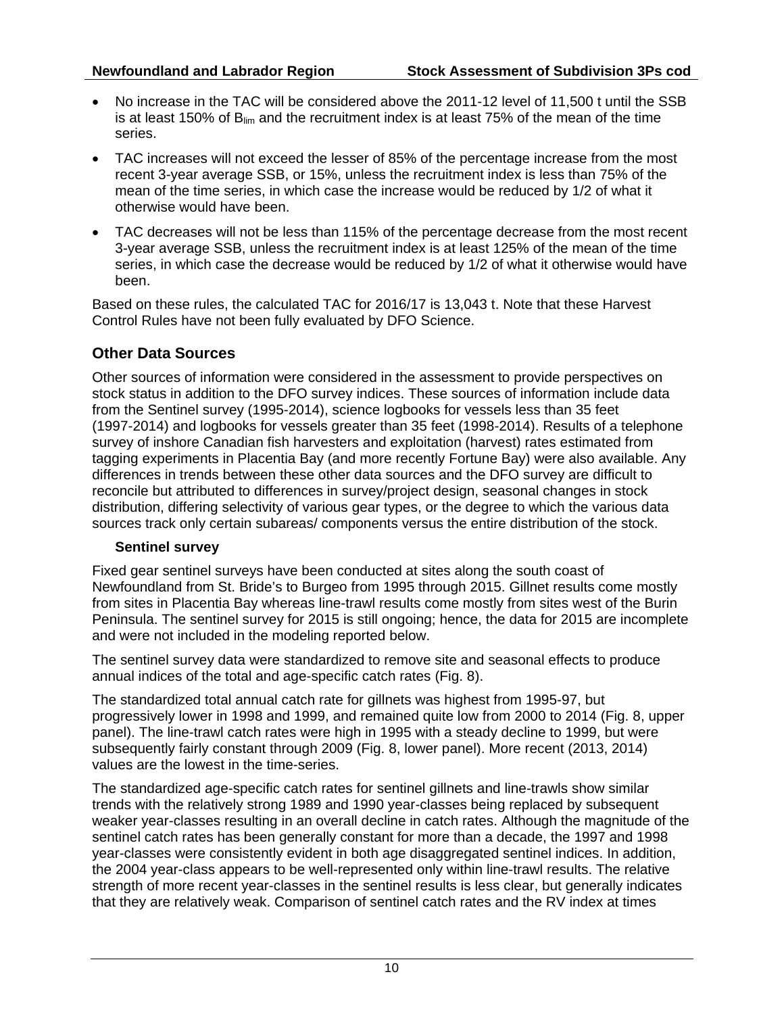- No increase in the TAC will be considered above the 2011-12 level of 11,500 t until the SSB is at least 150% of  $B_{lim}$  and the recruitment index is at least 75% of the mean of the time series.
- TAC increases will not exceed the lesser of 85% of the percentage increase from the most recent 3-year average SSB, or 15%, unless the recruitment index is less than 75% of the mean of the time series, in which case the increase would be reduced by 1/2 of what it otherwise would have been.
- TAC decreases will not be less than 115% of the percentage decrease from the most recent 3-year average SSB, unless the recruitment index is at least 125% of the mean of the time series, in which case the decrease would be reduced by 1/2 of what it otherwise would have been.

Based on these rules, the calculated TAC for 2016/17 is 13,043 t. Note that these Harvest Control Rules have not been fully evaluated by DFO Science.

# **Other Data Sources**

Other sources of information were considered in the assessment to provide perspectives on stock status in addition to the DFO survey indices. These sources of information include data from the Sentinel survey (1995-2014), science logbooks for vessels less than 35 feet (1997-2014) and logbooks for vessels greater than 35 feet (1998-2014). Results of a telephone survey of inshore Canadian fish harvesters and exploitation (harvest) rates estimated from tagging experiments in Placentia Bay (and more recently Fortune Bay) were also available. Any differences in trends between these other data sources and the DFO survey are difficult to reconcile but attributed to differences in survey/project design, seasonal changes in stock distribution, differing selectivity of various gear types, or the degree to which the various data sources track only certain subareas/ components versus the entire distribution of the stock.

## **Sentinel survey**

Fixed gear sentinel surveys have been conducted at sites along the south coast of Newfoundland from St. Bride's to Burgeo from 1995 through 2015. Gillnet results come mostly from sites in Placentia Bay whereas line-trawl results come mostly from sites west of the Burin Peninsula. The sentinel survey for 2015 is still ongoing; hence, the data for 2015 are incomplete and were not included in the modeling reported below.

The sentinel survey data were standardized to remove site and seasonal effects to produce annual indices of the total and age-specific catch rates (Fig. 8).

The standardized total annual catch rate for gillnets was highest from 1995-97, but progressively lower in 1998 and 1999, and remained quite low from 2000 to 2014 (Fig. 8, upper panel). The line-trawl catch rates were high in 1995 with a steady decline to 1999, but were subsequently fairly constant through 2009 (Fig. 8, lower panel). More recent (2013, 2014) values are the lowest in the time-series.

The standardized age-specific catch rates for sentinel gillnets and line-trawls show similar trends with the relatively strong 1989 and 1990 year-classes being replaced by subsequent weaker year-classes resulting in an overall decline in catch rates. Although the magnitude of the sentinel catch rates has been generally constant for more than a decade, the 1997 and 1998 year-classes were consistently evident in both age disaggregated sentinel indices. In addition, the 2004 year-class appears to be well-represented only within line-trawl results. The relative strength of more recent year-classes in the sentinel results is less clear, but generally indicates that they are relatively weak. Comparison of sentinel catch rates and the RV index at times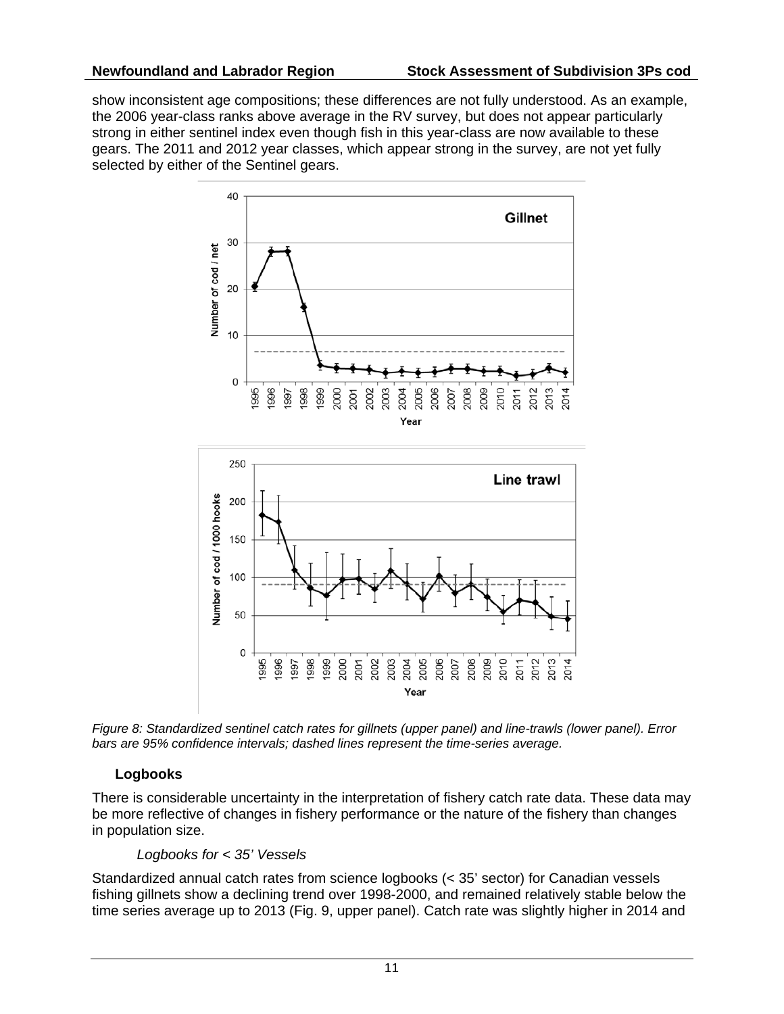show inconsistent age compositions; these differences are not fully understood. As an example, the 2006 year-class ranks above average in the RV survey, but does not appear particularly strong in either sentinel index even though fish in this year-class are now available to these gears. The 2011 and 2012 year classes, which appear strong in the survey, are not yet fully selected by either of the Sentinel gears.



*Figure 8: Standardized sentinel catch rates for gillnets (upper panel) and line-trawls (lower panel). Error bars are 95% confidence intervals; dashed lines represent the time-series average.*

## **Logbooks**

There is considerable uncertainty in the interpretation of fishery catch rate data. These data may be more reflective of changes in fishery performance or the nature of the fishery than changes in population size.

#### *Logbooks for < 35' Vessels*

Standardized annual catch rates from science logbooks (< 35' sector) for Canadian vessels fishing gillnets show a declining trend over 1998-2000, and remained relatively stable below the time series average up to 2013 (Fig. 9, upper panel). Catch rate was slightly higher in 2014 and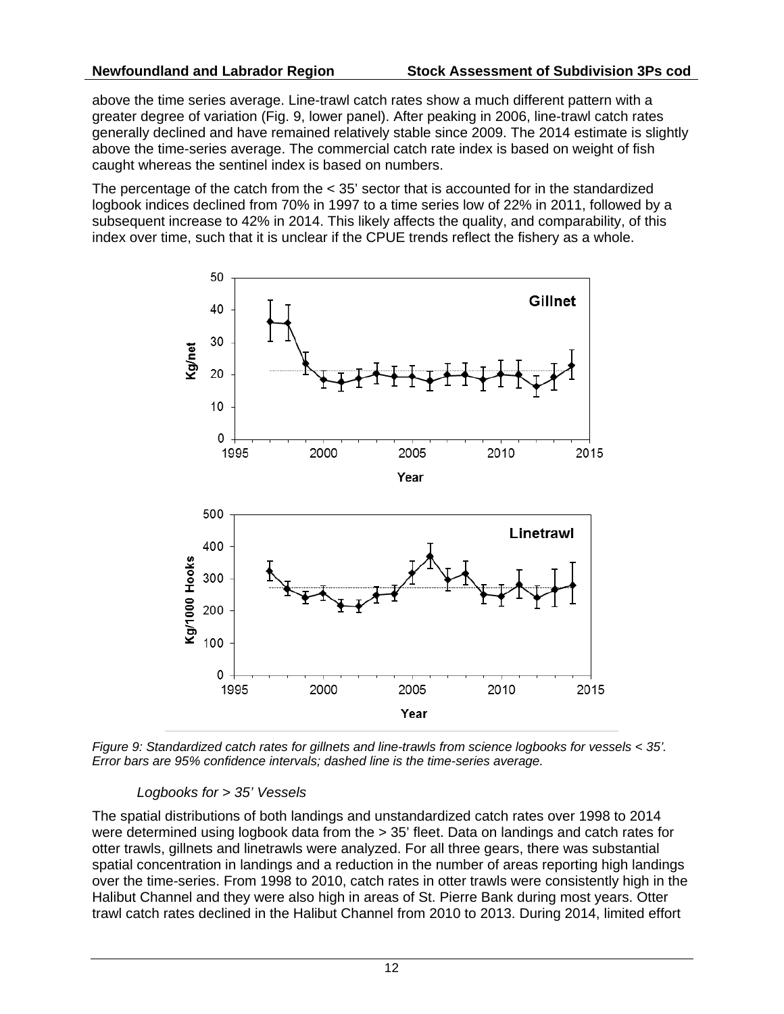above the time series average. Line-trawl catch rates show a much different pattern with a greater degree of variation (Fig. 9, lower panel). After peaking in 2006, line-trawl catch rates generally declined and have remained relatively stable since 2009. The 2014 estimate is slightly above the time-series average. The commercial catch rate index is based on weight of fish caught whereas the sentinel index is based on numbers.

The percentage of the catch from the < 35' sector that is accounted for in the standardized logbook indices declined from 70% in 1997 to a time series low of 22% in 2011, followed by a subsequent increase to 42% in 2014. This likely affects the quality, and comparability, of this index over time, such that it is unclear if the CPUE trends reflect the fishery as a whole.



*Figure 9: Standardized catch rates for gillnets and line-trawls from science logbooks for vessels < 35'. Error bars are 95% confidence intervals; dashed line is the time-series average.* 

## *Logbooks for > 35' Vessels*

The spatial distributions of both landings and unstandardized catch rates over 1998 to 2014 were determined using logbook data from the > 35' fleet. Data on landings and catch rates for otter trawls, gillnets and linetrawls were analyzed. For all three gears, there was substantial spatial concentration in landings and a reduction in the number of areas reporting high landings over the time-series. From 1998 to 2010, catch rates in otter trawls were consistently high in the Halibut Channel and they were also high in areas of St. Pierre Bank during most years. Otter trawl catch rates declined in the Halibut Channel from 2010 to 2013. During 2014, limited effort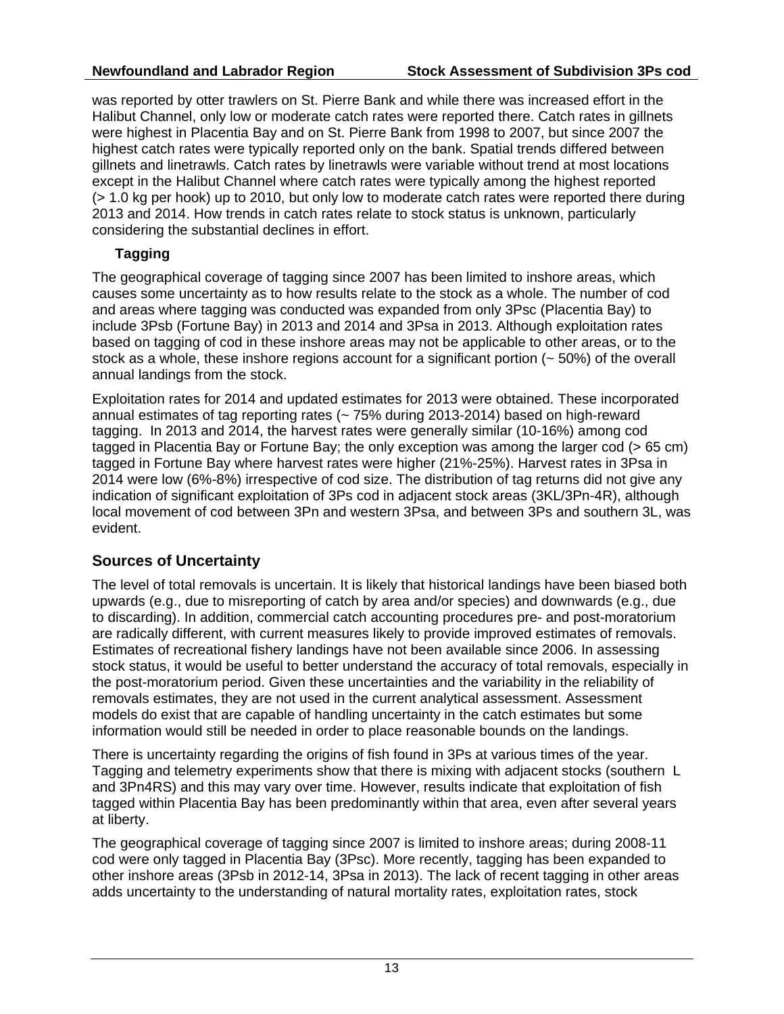was reported by otter trawlers on St. Pierre Bank and while there was increased effort in the Halibut Channel, only low or moderate catch rates were reported there. Catch rates in gillnets were highest in Placentia Bay and on St. Pierre Bank from 1998 to 2007, but since 2007 the highest catch rates were typically reported only on the bank. Spatial trends differed between gillnets and linetrawls. Catch rates by linetrawls were variable without trend at most locations except in the Halibut Channel where catch rates were typically among the highest reported (> 1.0 kg per hook) up to 2010, but only low to moderate catch rates were reported there during 2013 and 2014. How trends in catch rates relate to stock status is unknown, particularly considering the substantial declines in effort.

## **Tagging**

The geographical coverage of tagging since 2007 has been limited to inshore areas, which causes some uncertainty as to how results relate to the stock as a whole. The number of cod and areas where tagging was conducted was expanded from only 3Psc (Placentia Bay) to include 3Psb (Fortune Bay) in 2013 and 2014 and 3Psa in 2013. Although exploitation rates based on tagging of cod in these inshore areas may not be applicable to other areas, or to the stock as a whole, these inshore regions account for a significant portion  $($   $\sim$  50%) of the overall annual landings from the stock.

Exploitation rates for 2014 and updated estimates for 2013 were obtained. These incorporated annual estimates of tag reporting rates (~ 75% during 2013-2014) based on high-reward tagging. In 2013 and 2014, the harvest rates were generally similar (10-16%) among cod tagged in Placentia Bay or Fortune Bay; the only exception was among the larger cod (> 65 cm) tagged in Fortune Bay where harvest rates were higher (21%-25%). Harvest rates in 3Psa in 2014 were low (6%-8%) irrespective of cod size. The distribution of tag returns did not give any indication of significant exploitation of 3Ps cod in adjacent stock areas (3KL/3Pn-4R), although local movement of cod between 3Pn and western 3Psa, and between 3Ps and southern 3L, was evident.

# **Sources of Uncertainty**

The level of total removals is uncertain. It is likely that historical landings have been biased both upwards (e.g., due to misreporting of catch by area and/or species) and downwards (e.g., due to discarding). In addition, commercial catch accounting procedures pre- and post-moratorium are radically different, with current measures likely to provide improved estimates of removals. Estimates of recreational fishery landings have not been available since 2006. In assessing stock status, it would be useful to better understand the accuracy of total removals, especially in the post-moratorium period. Given these uncertainties and the variability in the reliability of removals estimates, they are not used in the current analytical assessment. Assessment models do exist that are capable of handling uncertainty in the catch estimates but some information would still be needed in order to place reasonable bounds on the landings.

There is uncertainty regarding the origins of fish found in 3Ps at various times of the year. Tagging and telemetry experiments show that there is mixing with adjacent stocks (southern L and 3Pn4RS) and this may vary over time. However, results indicate that exploitation of fish tagged within Placentia Bay has been predominantly within that area, even after several years at liberty.

The geographical coverage of tagging since 2007 is limited to inshore areas; during 2008-11 cod were only tagged in Placentia Bay (3Psc). More recently, tagging has been expanded to other inshore areas (3Psb in 2012-14, 3Psa in 2013). The lack of recent tagging in other areas adds uncertainty to the understanding of natural mortality rates, exploitation rates, stock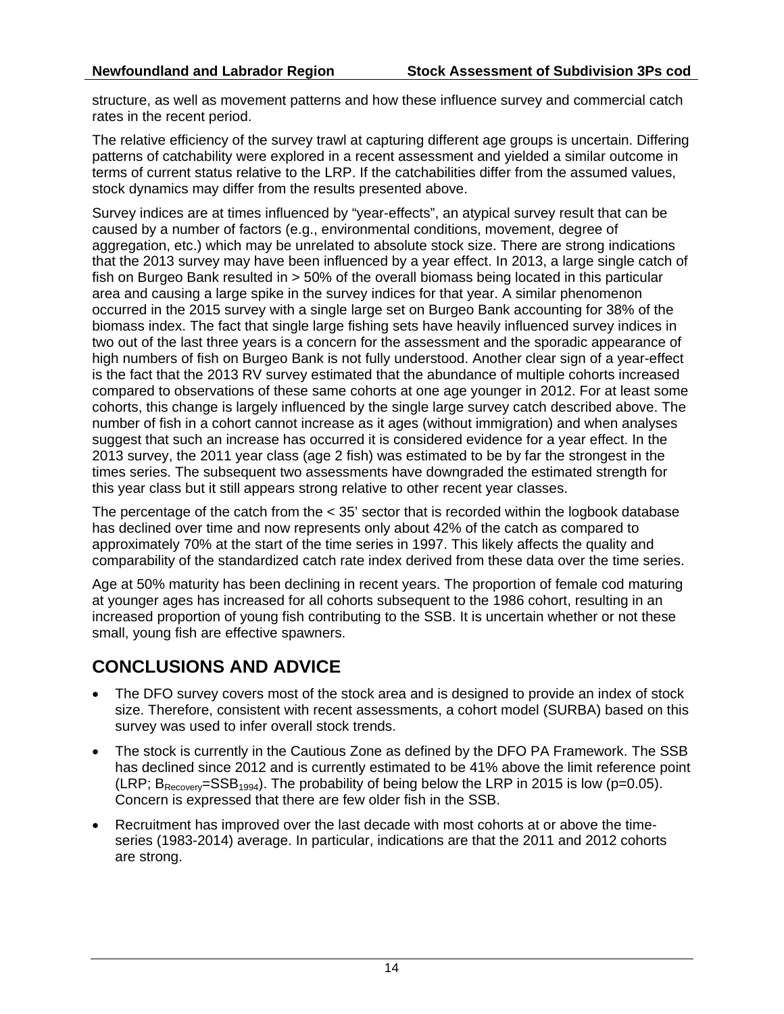structure, as well as movement patterns and how these influence survey and commercial catch rates in the recent period.

The relative efficiency of the survey trawl at capturing different age groups is uncertain. Differing patterns of catchability were explored in a recent assessment and yielded a similar outcome in terms of current status relative to the LRP. If the catchabilities differ from the assumed values, stock dynamics may differ from the results presented above.

Survey indices are at times influenced by "year-effects", an atypical survey result that can be caused by a number of factors (e.g., environmental conditions, movement, degree of aggregation, etc.) which may be unrelated to absolute stock size. There are strong indications that the 2013 survey may have been influenced by a year effect. In 2013, a large single catch of fish on Burgeo Bank resulted in > 50% of the overall biomass being located in this particular area and causing a large spike in the survey indices for that year. A similar phenomenon occurred in the 2015 survey with a single large set on Burgeo Bank accounting for 38% of the biomass index. The fact that single large fishing sets have heavily influenced survey indices in two out of the last three years is a concern for the assessment and the sporadic appearance of high numbers of fish on Burgeo Bank is not fully understood. Another clear sign of a year-effect is the fact that the 2013 RV survey estimated that the abundance of multiple cohorts increased compared to observations of these same cohorts at one age younger in 2012. For at least some cohorts, this change is largely influenced by the single large survey catch described above. The number of fish in a cohort cannot increase as it ages (without immigration) and when analyses suggest that such an increase has occurred it is considered evidence for a year effect. In the 2013 survey, the 2011 year class (age 2 fish) was estimated to be by far the strongest in the times series. The subsequent two assessments have downgraded the estimated strength for this year class but it still appears strong relative to other recent year classes.

The percentage of the catch from the < 35' sector that is recorded within the logbook database has declined over time and now represents only about 42% of the catch as compared to approximately 70% at the start of the time series in 1997. This likely affects the quality and comparability of the standardized catch rate index derived from these data over the time series.

Age at 50% maturity has been declining in recent years. The proportion of female cod maturing at younger ages has increased for all cohorts subsequent to the 1986 cohort, resulting in an increased proportion of young fish contributing to the SSB. It is uncertain whether or not these small, young fish are effective spawners.

# **CONCLUSIONS AND ADVICE**

- The DFO survey covers most of the stock area and is designed to provide an index of stock size. Therefore, consistent with recent assessments, a cohort model (SURBA) based on this survey was used to infer overall stock trends.
- The stock is currently in the Cautious Zone as defined by the DFO PA Framework. The SSB has declined since 2012 and is currently estimated to be 41% above the limit reference point (LRP;  $B_{\text{Rernven}}$ =SSB<sub>1994</sub>). The probability of being below the LRP in 2015 is low (p=0.05). Concern is expressed that there are few older fish in the SSB.
- Recruitment has improved over the last decade with most cohorts at or above the timeseries (1983-2014) average. In particular, indications are that the 2011 and 2012 cohorts are strong.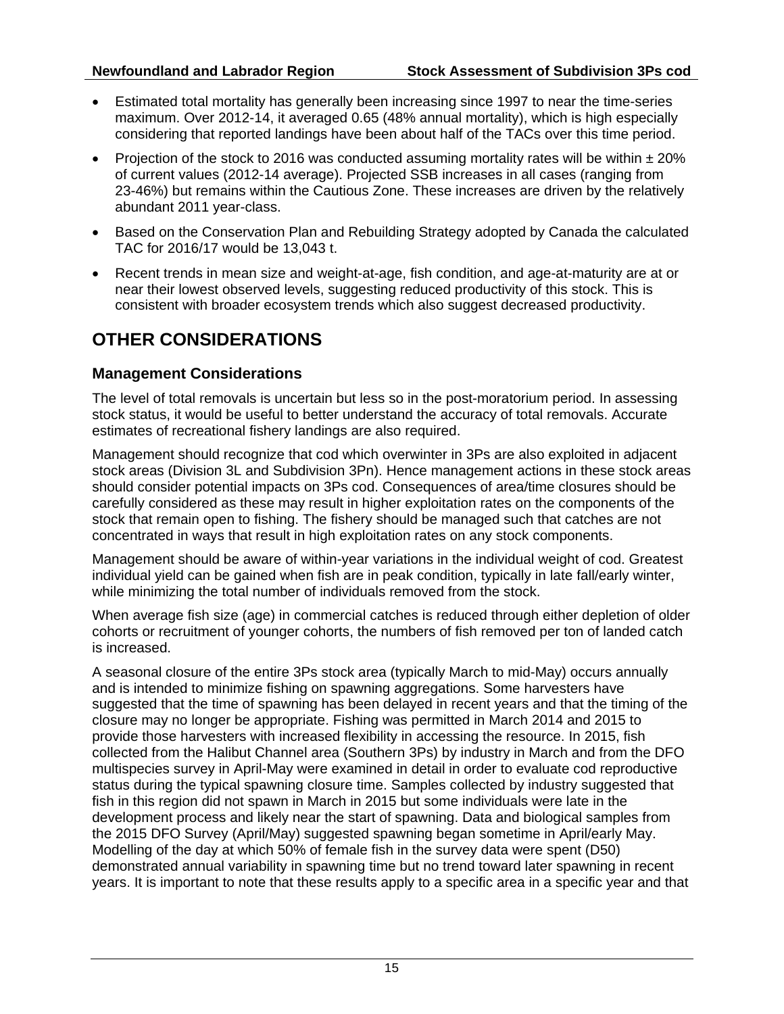- Estimated total mortality has generally been increasing since 1997 to near the time-series maximum. Over 2012-14, it averaged 0.65 (48% annual mortality), which is high especially considering that reported landings have been about half of the TACs over this time period.
- Projection of the stock to 2016 was conducted assuming mortality rates will be within  $\pm 20\%$ of current values (2012-14 average). Projected SSB increases in all cases (ranging from 23-46%) but remains within the Cautious Zone. These increases are driven by the relatively abundant 2011 year-class.
- Based on the Conservation Plan and Rebuilding Strategy adopted by Canada the calculated TAC for 2016/17 would be 13,043 t.
- Recent trends in mean size and weight-at-age, fish condition, and age-at-maturity are at or near their lowest observed levels, suggesting reduced productivity of this stock. This is consistent with broader ecosystem trends which also suggest decreased productivity.

# **OTHER CONSIDERATIONS**

# **Management Considerations**

The level of total removals is uncertain but less so in the post-moratorium period. In assessing stock status, it would be useful to better understand the accuracy of total removals. Accurate estimates of recreational fishery landings are also required.

Management should recognize that cod which overwinter in 3Ps are also exploited in adjacent stock areas (Division 3L and Subdivision 3Pn). Hence management actions in these stock areas should consider potential impacts on 3Ps cod. Consequences of area/time closures should be carefully considered as these may result in higher exploitation rates on the components of the stock that remain open to fishing. The fishery should be managed such that catches are not concentrated in ways that result in high exploitation rates on any stock components.

Management should be aware of within-year variations in the individual weight of cod. Greatest individual yield can be gained when fish are in peak condition, typically in late fall/early winter, while minimizing the total number of individuals removed from the stock.

When average fish size (age) in commercial catches is reduced through either depletion of older cohorts or recruitment of younger cohorts, the numbers of fish removed per ton of landed catch is increased.

A seasonal closure of the entire 3Ps stock area (typically March to mid-May) occurs annually and is intended to minimize fishing on spawning aggregations. Some harvesters have suggested that the time of spawning has been delayed in recent years and that the timing of the closure may no longer be appropriate. Fishing was permitted in March 2014 and 2015 to provide those harvesters with increased flexibility in accessing the resource. In 2015, fish collected from the Halibut Channel area (Southern 3Ps) by industry in March and from the DFO multispecies survey in April-May were examined in detail in order to evaluate cod reproductive status during the typical spawning closure time. Samples collected by industry suggested that fish in this region did not spawn in March in 2015 but some individuals were late in the development process and likely near the start of spawning. Data and biological samples from the 2015 DFO Survey (April/May) suggested spawning began sometime in April/early May. Modelling of the day at which 50% of female fish in the survey data were spent (D50) demonstrated annual variability in spawning time but no trend toward later spawning in recent years. It is important to note that these results apply to a specific area in a specific year and that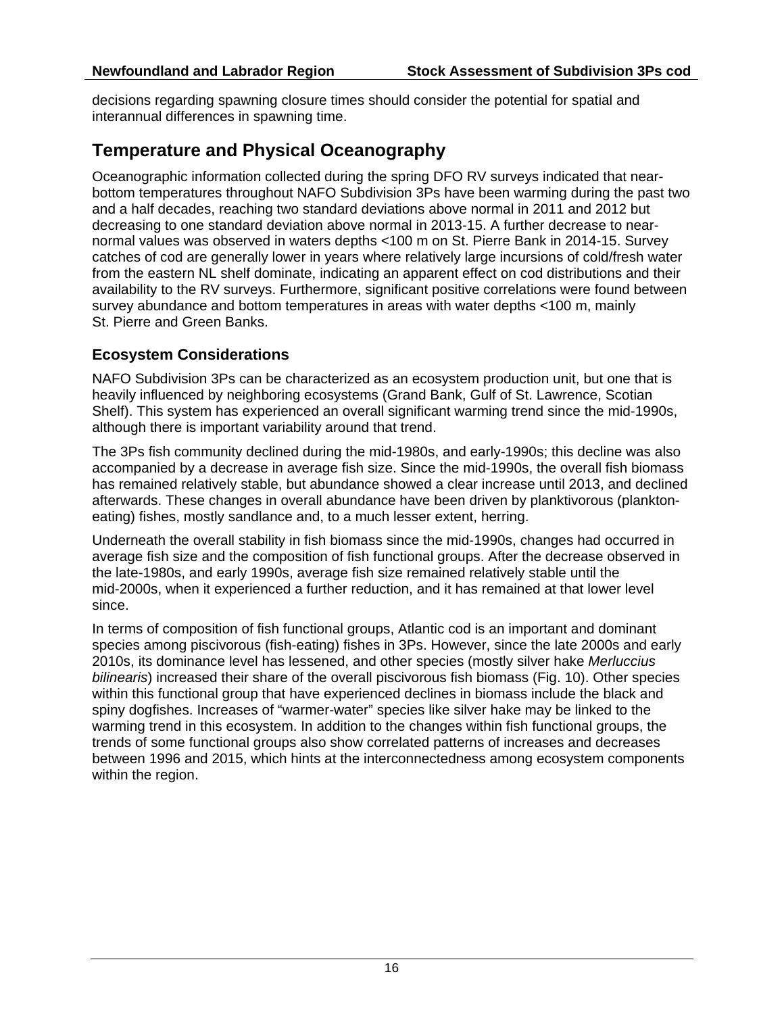decisions regarding spawning closure times should consider the potential for spatial and interannual differences in spawning time.

# **Temperature and Physical Oceanography**

Oceanographic information collected during the spring DFO RV surveys indicated that nearbottom temperatures throughout NAFO Subdivision 3Ps have been warming during the past two and a half decades, reaching two standard deviations above normal in 2011 and 2012 but decreasing to one standard deviation above normal in 2013-15. A further decrease to nearnormal values was observed in waters depths <100 m on St. Pierre Bank in 2014-15. Survey catches of cod are generally lower in years where relatively large incursions of cold/fresh water from the eastern NL shelf dominate, indicating an apparent effect on cod distributions and their availability to the RV surveys. Furthermore, significant positive correlations were found between survey abundance and bottom temperatures in areas with water depths <100 m, mainly St. Pierre and Green Banks.

# **Ecosystem Considerations**

NAFO Subdivision 3Ps can be characterized as an ecosystem production unit, but one that is heavily influenced by neighboring ecosystems (Grand Bank, Gulf of St. Lawrence, Scotian Shelf). This system has experienced an overall significant warming trend since the mid-1990s, although there is important variability around that trend.

The 3Ps fish community declined during the mid-1980s, and early-1990s; this decline was also accompanied by a decrease in average fish size. Since the mid-1990s, the overall fish biomass has remained relatively stable, but abundance showed a clear increase until 2013, and declined afterwards. These changes in overall abundance have been driven by planktivorous (planktoneating) fishes, mostly sandlance and, to a much lesser extent, herring.

Underneath the overall stability in fish biomass since the mid-1990s, changes had occurred in average fish size and the composition of fish functional groups. After the decrease observed in the late-1980s, and early 1990s, average fish size remained relatively stable until the mid-2000s, when it experienced a further reduction, and it has remained at that lower level since.

In terms of composition of fish functional groups, Atlantic cod is an important and dominant species among piscivorous (fish-eating) fishes in 3Ps. However, since the late 2000s and early 2010s, its dominance level has lessened, and other species (mostly silver hake *Merluccius bilinearis*) increased their share of the overall piscivorous fish biomass (Fig. 10). Other species within this functional group that have experienced declines in biomass include the black and spiny dogfishes. Increases of "warmer-water" species like silver hake may be linked to the warming trend in this ecosystem. In addition to the changes within fish functional groups, the trends of some functional groups also show correlated patterns of increases and decreases between 1996 and 2015, which hints at the interconnectedness among ecosystem components within the region.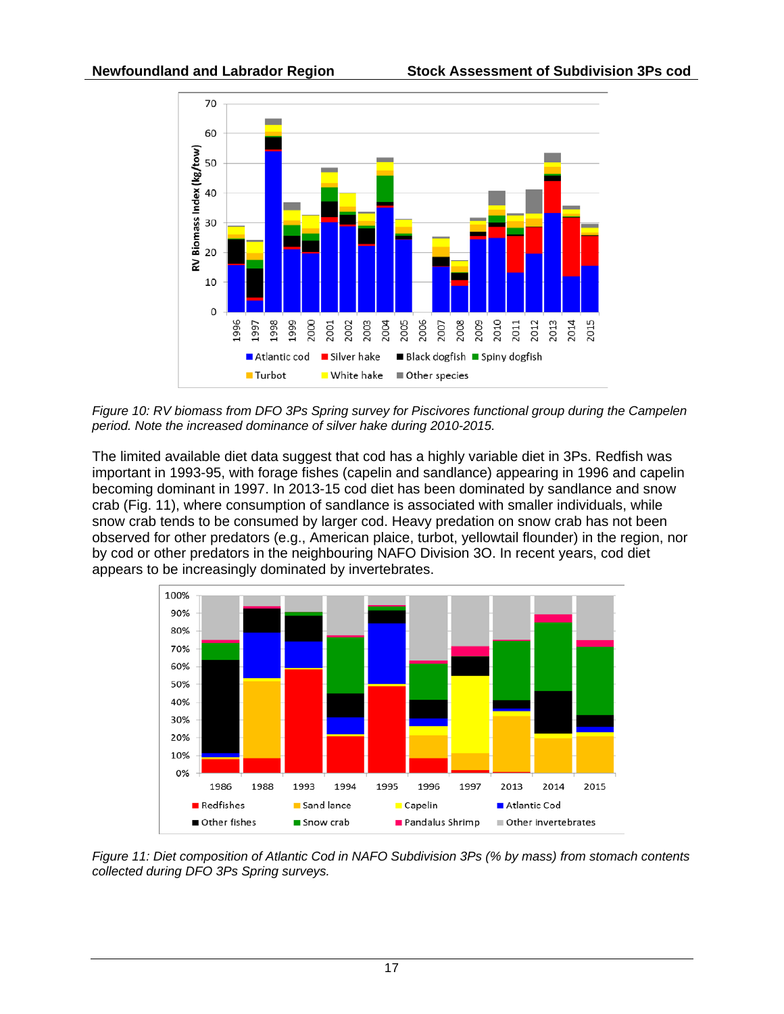

*Figure 10: RV biomass from DFO 3Ps Spring survey for Piscivores functional group during the Campelen period. Note the increased dominance of silver hake during 2010-2015.*

The limited available diet data suggest that cod has a highly variable diet in 3Ps. Redfish was important in 1993-95, with forage fishes (capelin and sandlance) appearing in 1996 and capelin becoming dominant in 1997. In 2013-15 cod diet has been dominated by sandlance and snow crab (Fig. 11), where consumption of sandlance is associated with smaller individuals, while snow crab tends to be consumed by larger cod. Heavy predation on snow crab has not been observed for other predators (e.g., American plaice, turbot, yellowtail flounder) in the region, nor by cod or other predators in the neighbouring NAFO Division 3O. In recent years, cod diet appears to be increasingly dominated by invertebrates.



*Figure 11: Diet composition of Atlantic Cod in NAFO Subdivision 3Ps (% by mass) from stomach contents collected during DFO 3Ps Spring surveys.*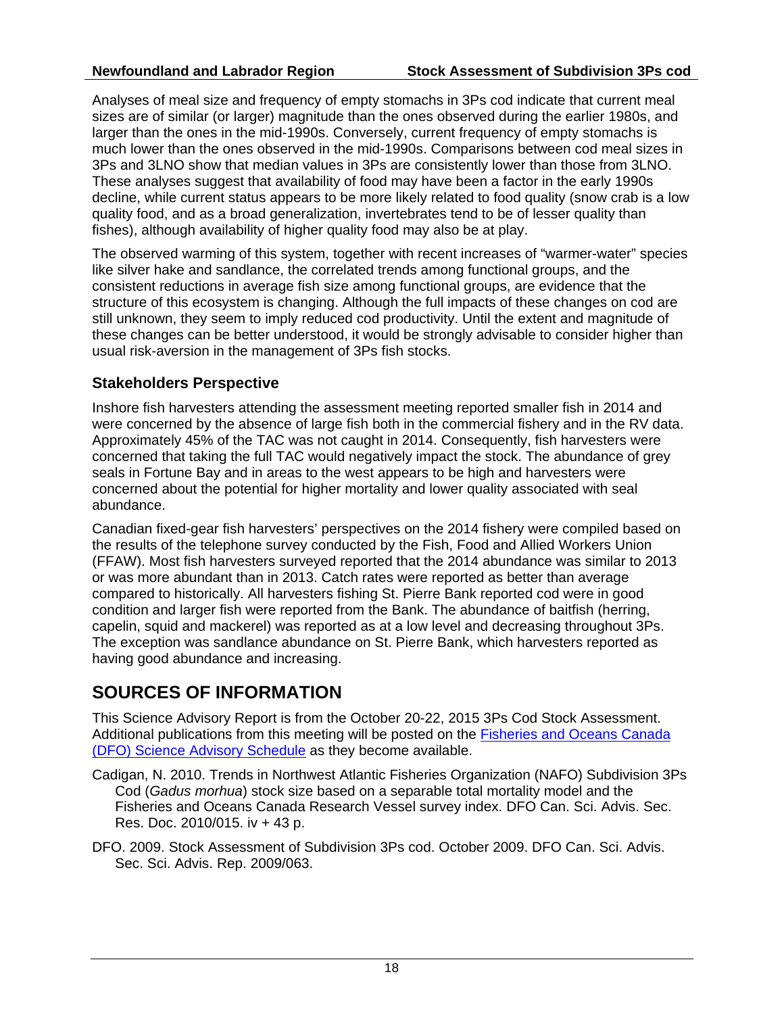Analyses of meal size and frequency of empty stomachs in 3Ps cod indicate that current meal sizes are of similar (or larger) magnitude than the ones observed during the earlier 1980s, and larger than the ones in the mid-1990s. Conversely, current frequency of empty stomachs is much lower than the ones observed in the mid-1990s. Comparisons between cod meal sizes in 3Ps and 3LNO show that median values in 3Ps are consistently lower than those from 3LNO. These analyses suggest that availability of food may have been a factor in the early 1990s decline, while current status appears to be more likely related to food quality (snow crab is a low quality food, and as a broad generalization, invertebrates tend to be of lesser quality than fishes), although availability of higher quality food may also be at play.

The observed warming of this system, together with recent increases of "warmer-water" species like silver hake and sandlance, the correlated trends among functional groups, and the consistent reductions in average fish size among functional groups, are evidence that the structure of this ecosystem is changing. Although the full impacts of these changes on cod are still unknown, they seem to imply reduced cod productivity. Until the extent and magnitude of these changes can be better understood, it would be strongly advisable to consider higher than usual risk-aversion in the management of 3Ps fish stocks.

# **Stakeholders Perspective**

Inshore fish harvesters attending the assessment meeting reported smaller fish in 2014 and were concerned by the absence of large fish both in the commercial fishery and in the RV data. Approximately 45% of the TAC was not caught in 2014. Consequently, fish harvesters were concerned that taking the full TAC would negatively impact the stock. The abundance of grey seals in Fortune Bay and in areas to the west appears to be high and harvesters were concerned about the potential for higher mortality and lower quality associated with seal abundance.

Canadian fixed-gear fish harvesters' perspectives on the 2014 fishery were compiled based on the results of the telephone survey conducted by the Fish, Food and Allied Workers Union (FFAW). Most fish harvesters surveyed reported that the 2014 abundance was similar to 2013 or was more abundant than in 2013. Catch rates were reported as better than average compared to historically. All harvesters fishing St. Pierre Bank reported cod were in good condition and larger fish were reported from the Bank. The abundance of baitfish (herring, capelin, squid and mackerel) was reported as at a low level and decreasing throughout 3Ps. The exception was sandlance abundance on St. Pierre Bank, which harvesters reported as having good abundance and increasing.

# **SOURCES OF INFORMATION**

This Science Advisory Report is from the October 20-22, 2015 3Ps Cod Stock Assessment. Additional publications from this meeting will be posted on the [Fisheries and Oceans Canada](http://www.isdm-gdsi.gc.ca/csas-sccs/applications/events-evenements/index-eng.asp)  [\(DFO\) Science Advisory Schedule](http://www.isdm-gdsi.gc.ca/csas-sccs/applications/events-evenements/index-eng.asp) as they become available.

- Cadigan, N. 2010. Trends in Northwest Atlantic Fisheries Organization (NAFO) Subdivision 3Ps Cod (*Gadus morhua*) stock size based on a separable total mortality model and the Fisheries and Oceans Canada Research Vessel survey index. DFO Can. Sci. Advis. Sec. Res. Doc. 2010/015. iv + 43 p.
- DFO. 2009. Stock Assessment of Subdivision 3Ps cod. October 2009. DFO Can. Sci. Advis. Sec. Sci. Advis. Rep. 2009/063.